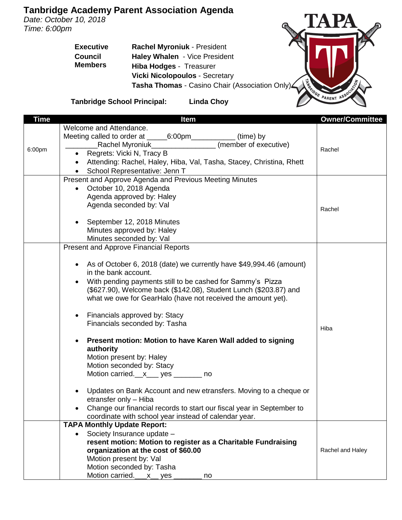## **Tanbridge Academy Parent Association Agenda**

*Date: October 10, 2018 Time: 6:00pm*

> **Executive Council Members Rachel Myroniuk** - President **Haley Whalen** - Vice President **Hiba Hodges** - Treasurer **Vicki Nicolopoulos** - Secretary **Tasha Thomas** - Casino Chair (Association Only)



**Tanbridge School Principal: Linda Choy**

| Time   | <b>Item</b>                                                                       | <b>Owner/Committee</b> |
|--------|-----------------------------------------------------------------------------------|------------------------|
|        | Welcome and Attendance.                                                           |                        |
| 6:00pm | Meeting called to order at _______6:00pm______________ (time) by                  |                        |
|        | (member of executive)<br>Rachel Myroniuk___________________                       | Rachel                 |
|        | Regrets: Vicki N, Tracy B                                                         |                        |
|        | Attending: Rachel, Haley, Hiba, Val, Tasha, Stacey, Christina, Rhett<br>$\bullet$ |                        |
|        | School Representative: Jenn T                                                     |                        |
|        | Present and Approve Agenda and Previous Meeting Minutes                           |                        |
|        | October 10, 2018 Agenda<br>$\bullet$                                              |                        |
|        | Agenda approved by: Haley                                                         |                        |
|        | Agenda seconded by: Val                                                           | Rachel                 |
|        |                                                                                   |                        |
|        | September 12, 2018 Minutes                                                        |                        |
|        | Minutes approved by: Haley                                                        |                        |
|        | Minutes seconded by: Val                                                          |                        |
|        | <b>Present and Approve Financial Reports</b>                                      |                        |
|        |                                                                                   |                        |
|        | As of October 6, 2018 (date) we currently have \$49,994.46 (amount)               |                        |
|        | in the bank account.                                                              |                        |
|        | With pending payments still to be cashed for Sammy's Pizza                        |                        |
|        | (\$627.90), Welcome back (\$142.08), Student Lunch (\$203.87) and                 |                        |
|        | what we owe for GearHalo (have not received the amount yet).                      |                        |
|        | Financials approved by: Stacy<br>$\bullet$                                        |                        |
|        | Financials seconded by: Tasha                                                     |                        |
|        |                                                                                   | Hiba                   |
|        | Present motion: Motion to have Karen Wall added to signing                        |                        |
|        | authority                                                                         |                        |
|        | Motion present by: Haley                                                          |                        |
|        | Motion seconded by: Stacy                                                         |                        |
|        | Motion carried.__x___ yes _______ no                                              |                        |
|        |                                                                                   |                        |
|        | Updates on Bank Account and new etransfers. Moving to a cheque or                 |                        |
|        | etransfer only - Hiba                                                             |                        |
|        | Change our financial records to start our fiscal year in September to             |                        |
|        | coordinate with school year instead of calendar year.                             |                        |
|        | <b>TAPA Monthly Update Report:</b>                                                |                        |
|        | Society Insurance update -<br>$\bullet$                                           |                        |
|        | resent motion: Motion to register as a Charitable Fundraising                     |                        |
|        | organization at the cost of \$60.00                                               | Rachel and Haley       |
|        | <b>Motion present by: Val</b>                                                     |                        |
|        | Motion seconded by: Tasha                                                         |                        |
|        | Motion carried.<br>$x$ yes $-$<br>no                                              |                        |